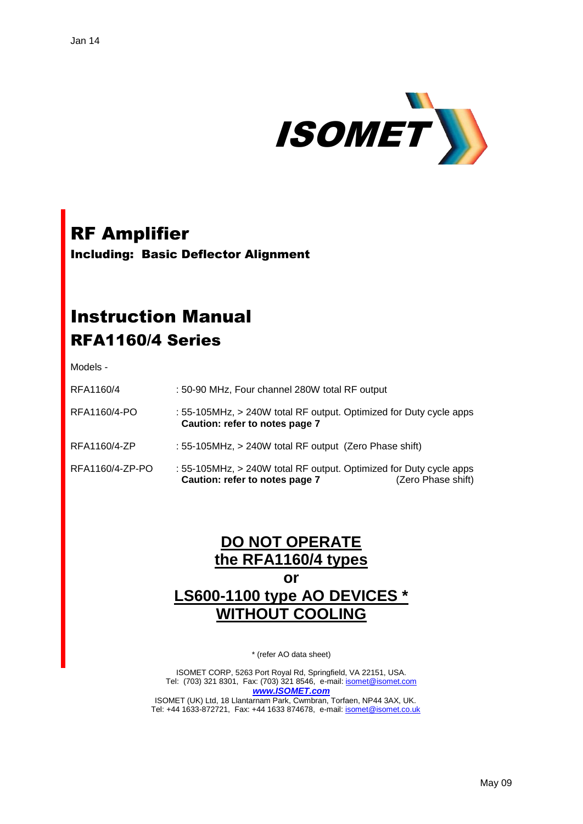

# RF Amplifier

Including: Basic Deflector Alignment

## Instruction Manual RFA1160/4 Series

Models -

| RFA1160/4 | : 50-90 MHz, Four channel 280W total RF output |  |  |
|-----------|------------------------------------------------|--|--|
|           |                                                |  |  |

RFA1160/4-PO : 55-105MHz, > 240W total RF output. Optimized for Duty cycle apps  **Caution: refer to notes page 7**

- RFA1160/4-ZP : 55-105MHz, > 240W total RF output (Zero Phase shift)
- RFA1160/4-ZP-PO : 55-105MHz, > 240W total RF output. Optimized for Duty cycle apps **Caution: refer to notes page 7** (Zero Phase shift)

### **DO NOT OPERATE the RFA1160/4 types or LS600-1100 type AO DEVICES \* WITHOUT COOLING**

\* (refer AO data sheet)

ISOMET CORP, 5263 Port Royal Rd, Springfield, VA 22151, USA. Tel: (703) 321 8301, Fax: (703) 321 8546, e-mail[: isomet@isomet.com](mailto:isomet@isomet.com) *[www.ISOMET.com](http://www.isomet.com/)* ISOMET (UK) Ltd, 18 Llantarnam Park, Cwmbran, Torfaen, NP44 3AX, UK.

Tel: +44 1633-872721, Fax: +44 1633 874678, e-mail: [isomet@isomet.co.uk](mailto:isomet@isomet.co.uk)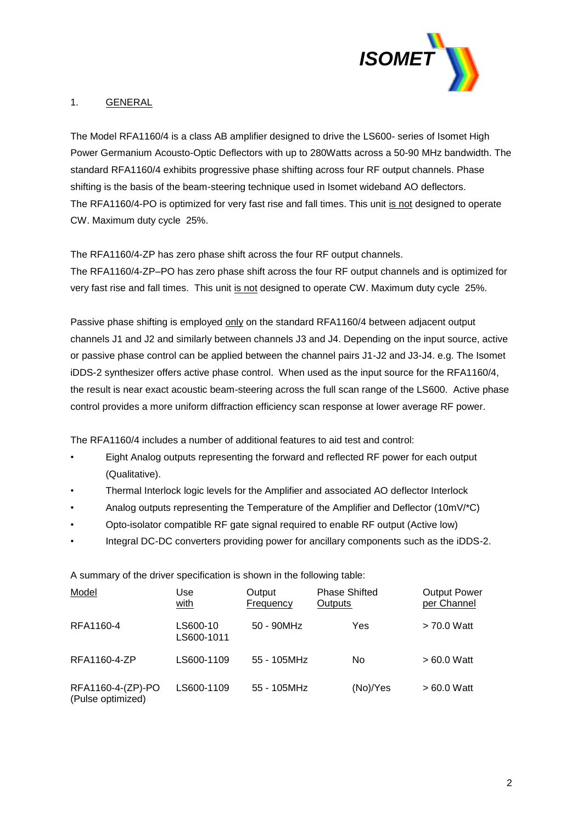

#### 1. GENERAL

The Model RFA1160/4 is a class AB amplifier designed to drive the LS600- series of Isomet High Power Germanium Acousto-Optic Deflectors with up to 280Watts across a 50-90 MHz bandwidth. The standard RFA1160/4 exhibits progressive phase shifting across four RF output channels. Phase shifting is the basis of the beam-steering technique used in Isomet wideband AO deflectors. The RFA1160/4-PO is optimized for very fast rise and fall times. This unit is not designed to operate CW. Maximum duty cycle 25%.

The RFA1160/4-ZP has zero phase shift across the four RF output channels. The RFA1160/4-ZP–PO has zero phase shift across the four RF output channels and is optimized for very fast rise and fall times. This unit is not designed to operate CW. Maximum duty cycle 25%.

Passive phase shifting is employed only on the standard RFA1160/4 between adjacent output channels J1 and J2 and similarly between channels J3 and J4. Depending on the input source, active or passive phase control can be applied between the channel pairs J1-J2 and J3-J4. e.g. The Isomet iDDS-2 synthesizer offers active phase control. When used as the input source for the RFA1160/4, the result is near exact acoustic beam-steering across the full scan range of the LS600. Active phase control provides a more uniform diffraction efficiency scan response at lower average RF power.

The RFA1160/4 includes a number of additional features to aid test and control:

- Eight Analog outputs representing the forward and reflected RF power for each output (Qualitative).
- Thermal Interlock logic levels for the Amplifier and associated AO deflector Interlock
- Analog outputs representing the Temperature of the Amplifier and Deflector (10mV/\*C)
- Opto-isolator compatible RF gate signal required to enable RF output (Active low)
- Integral DC-DC converters providing power for ancillary components such as the iDDS-2.

Model **Notable Use** Output Phase Shifted Output Power with Frequency Outputs per Channel RFA1160-4 LS600-10 50 - 90MHz Yes > 70.0 Watt LS600-1011 RFA1160-4-ZP LS600-1109 55 - 105MHz No > 60.0 Watt RFA1160-4-(ZP)-PO LS600-1109 55 - 105MHz (No)/Yes > 60.0 Watt (Pulse optimized)

A summary of the driver specification is shown in the following table: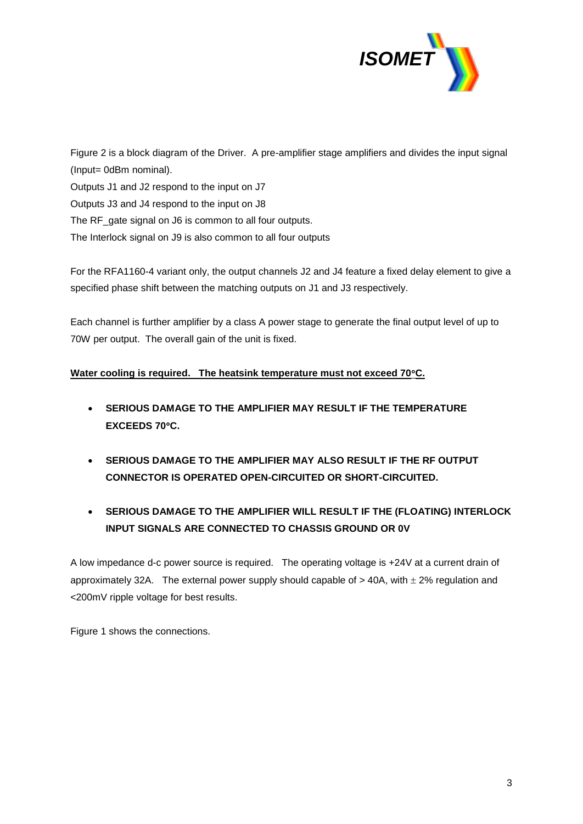

Figure 2 is a block diagram of the Driver. A pre-amplifier stage amplifiers and divides the input signal (Input= 0dBm nominal). Outputs J1 and J2 respond to the input on J7 Outputs J3 and J4 respond to the input on J8 The RF\_gate signal on J6 is common to all four outputs. The Interlock signal on J9 is also common to all four outputs

For the RFA1160-4 variant only, the output channels J2 and J4 feature a fixed delay element to give a specified phase shift between the matching outputs on J1 and J3 respectively.

Each channel is further amplifier by a class A power stage to generate the final output level of up to 70W per output. The overall gain of the unit is fixed.

#### **Water cooling is required. The heatsink temperature must not exceed 70C.**

- **SERIOUS DAMAGE TO THE AMPLIFIER MAY RESULT IF THE TEMPERATURE EXCEEDS 70C.**
- **SERIOUS DAMAGE TO THE AMPLIFIER MAY ALSO RESULT IF THE RF OUTPUT CONNECTOR IS OPERATED OPEN-CIRCUITED OR SHORT-CIRCUITED.**
- **SERIOUS DAMAGE TO THE AMPLIFIER WILL RESULT IF THE (FLOATING) INTERLOCK INPUT SIGNALS ARE CONNECTED TO CHASSIS GROUND OR 0V**

A low impedance d-c power source is required. The operating voltage is +24V at a current drain of approximately 32A. The external power supply should capable of  $>$  40A, with  $\pm$  2% regulation and <200mV ripple voltage for best results.

Figure 1 shows the connections.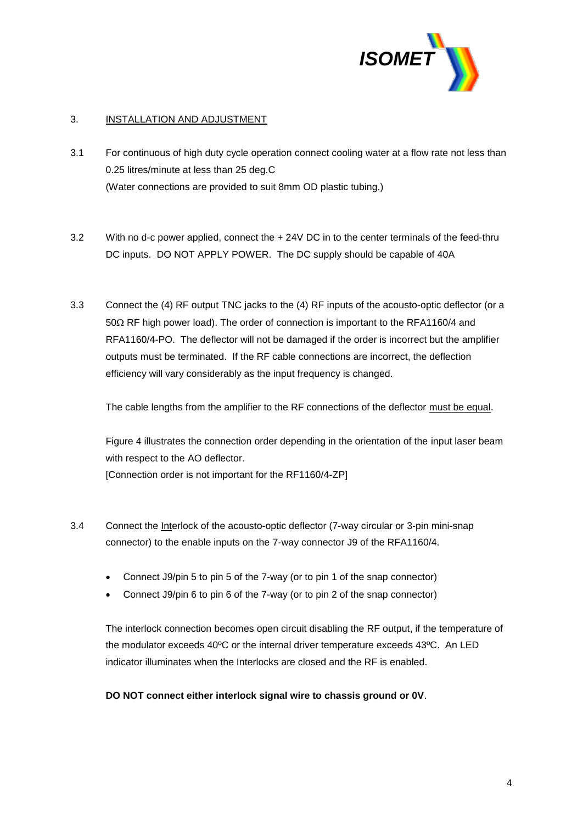

#### 3. INSTALLATION AND ADJUSTMENT

- 3.1 For continuous of high duty cycle operation connect cooling water at a flow rate not less than 0.25 litres/minute at less than 25 deg.C (Water connections are provided to suit 8mm OD plastic tubing.)
- 3.2 With no d-c power applied, connect the + 24V DC in to the center terminals of the feed-thru DC inputs. DO NOT APPLY POWER. The DC supply should be capable of 40A
- 3.3 Connect the (4) RF output TNC jacks to the (4) RF inputs of the acousto-optic deflector (or a  $50\Omega$  RF high power load). The order of connection is important to the RFA1160/4 and RFA1160/4-PO. The deflector will not be damaged if the order is incorrect but the amplifier outputs must be terminated. If the RF cable connections are incorrect, the deflection efficiency will vary considerably as the input frequency is changed.

The cable lengths from the amplifier to the RF connections of the deflector must be equal.

Figure 4 illustrates the connection order depending in the orientation of the input laser beam with respect to the AO deflector. [Connection order is not important for the RF1160/4-ZP]

- 3.4 Connect the Interlock of the acousto-optic deflector (7-way circular or 3-pin mini-snap connector) to the enable inputs on the 7-way connector J9 of the RFA1160/4.
	- Connect J9/pin 5 to pin 5 of the 7-way (or to pin 1 of the snap connector)
	- Connect J9/pin 6 to pin 6 of the 7-way (or to pin 2 of the snap connector)

The interlock connection becomes open circuit disabling the RF output, if the temperature of the modulator exceeds 40ºC or the internal driver temperature exceeds 43ºC. An LED indicator illuminates when the Interlocks are closed and the RF is enabled.

#### **DO NOT connect either interlock signal wire to chassis ground or 0V**.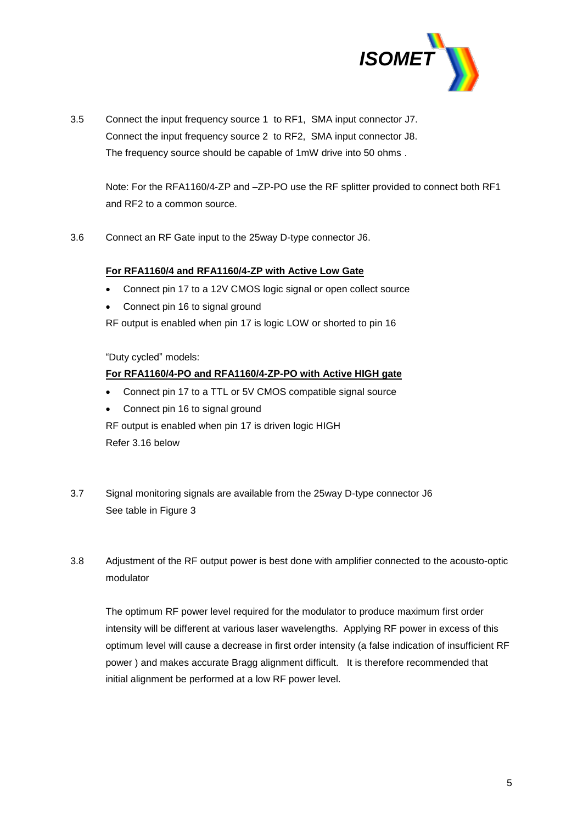

3.5 Connect the input frequency source 1 to RF1, SMA input connector J7. Connect the input frequency source 2 to RF2, SMA input connector J8. The frequency source should be capable of 1mW drive into 50 ohms .

Note: For the RFA1160/4-ZP and -ZP-PO use the RF splitter provided to connect both RF1 and RF2 to a common source.

3.6 Connect an RF Gate input to the 25way D-type connector J6.

#### **For RFA1160/4 and RFA1160/4-ZP with Active Low Gate**

- Connect pin 17 to a 12V CMOS logic signal or open collect source
- Connect pin 16 to signal ground

RF output is enabled when pin 17 is logic LOW or shorted to pin 16

"Duty cycled" models:

#### **For RFA1160/4-PO and RFA1160/4-ZP-PO with Active HIGH gate**

- Connect pin 17 to a TTL or 5V CMOS compatible signal source
- Connect pin 16 to signal ground

RF output is enabled when pin 17 is driven logic HIGH Refer 3.16 below

- 3.7 Signal monitoring signals are available from the 25way D-type connector J6 See table in Figure 3
- 3.8 Adjustment of the RF output power is best done with amplifier connected to the acousto-optic modulator

The optimum RF power level required for the modulator to produce maximum first order intensity will be different at various laser wavelengths. Applying RF power in excess of this optimum level will cause a decrease in first order intensity (a false indication of insufficient RF power ) and makes accurate Bragg alignment difficult. It is therefore recommended that initial alignment be performed at a low RF power level.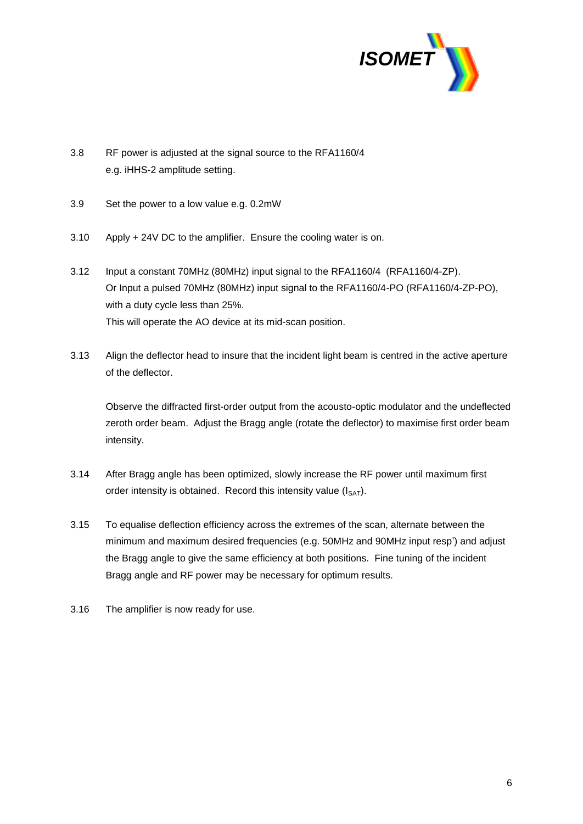

- 3.8 RF power is adjusted at the signal source to the RFA1160/4 e.g. iHHS-2 amplitude setting.
- 3.9 Set the power to a low value e.g. 0.2mW
- 3.10 Apply + 24V DC to the amplifier. Ensure the cooling water is on.
- 3.12 Input a constant 70MHz (80MHz) input signal to the RFA1160/4 (RFA1160/4-ZP). Or Input a pulsed 70MHz (80MHz) input signal to the RFA1160/4-PO (RFA1160/4-ZP-PO), with a duty cycle less than 25%. This will operate the AO device at its mid-scan position.
- 3.13 Align the deflector head to insure that the incident light beam is centred in the active aperture of the deflector.

Observe the diffracted first-order output from the acousto-optic modulator and the undeflected zeroth order beam. Adjust the Bragg angle (rotate the deflector) to maximise first order beam intensity.

- 3.14 After Bragg angle has been optimized, slowly increase the RF power until maximum first order intensity is obtained. Record this intensity value  $(I_{SAT})$ .
- 3.15 To equalise deflection efficiency across the extremes of the scan, alternate between the minimum and maximum desired frequencies (e.g. 50MHz and 90MHz input resp') and adjust the Bragg angle to give the same efficiency at both positions. Fine tuning of the incident Bragg angle and RF power may be necessary for optimum results.
- 3.16 The amplifier is now ready for use.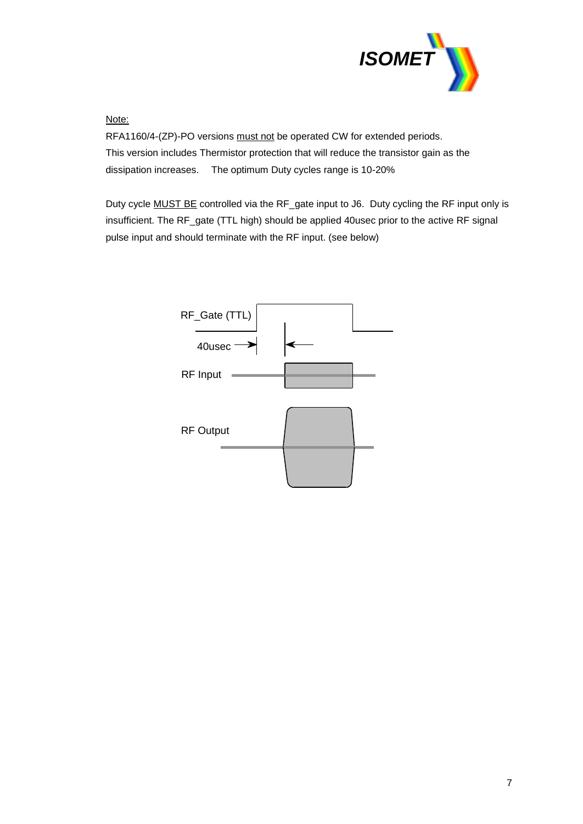

Note:

RFA1160/4-(ZP)-PO versions must not be operated CW for extended periods. This version includes Thermistor protection that will reduce the transistor gain as the dissipation increases. The optimum Duty cycles range is 10-20%

Duty cycle **MUST BE** controlled via the RF\_gate input to J6. Duty cycling the RF input only is insufficient. The RF\_gate (TTL high) should be applied 40usec prior to the active RF signal pulse input and should terminate with the RF input. (see below)

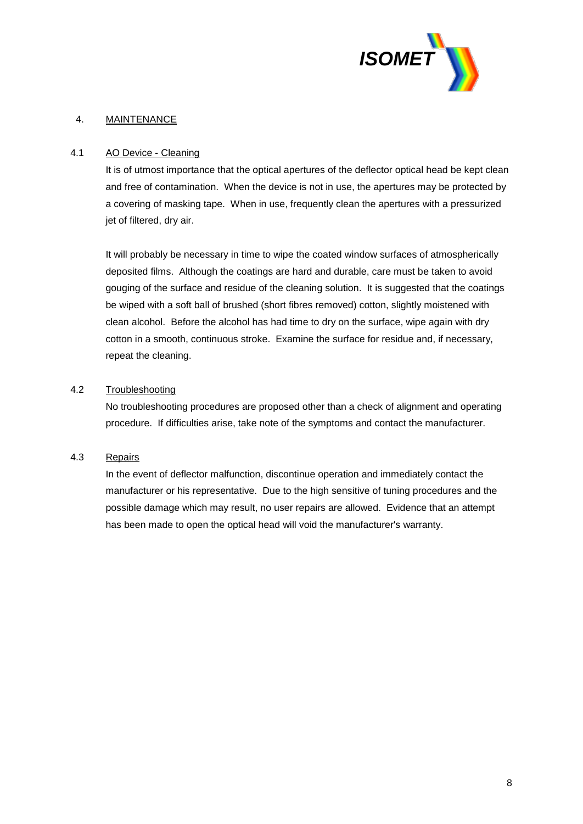

#### 4. MAINTENANCE

#### 4.1 AO Device - Cleaning

It is of utmost importance that the optical apertures of the deflector optical head be kept clean and free of contamination. When the device is not in use, the apertures may be protected by a covering of masking tape. When in use, frequently clean the apertures with a pressurized jet of filtered, dry air.

It will probably be necessary in time to wipe the coated window surfaces of atmospherically deposited films. Although the coatings are hard and durable, care must be taken to avoid gouging of the surface and residue of the cleaning solution. It is suggested that the coatings be wiped with a soft ball of brushed (short fibres removed) cotton, slightly moistened with clean alcohol. Before the alcohol has had time to dry on the surface, wipe again with dry cotton in a smooth, continuous stroke. Examine the surface for residue and, if necessary, repeat the cleaning.

#### 4.2 Troubleshooting

No troubleshooting procedures are proposed other than a check of alignment and operating procedure. If difficulties arise, take note of the symptoms and contact the manufacturer.

#### 4.3 Repairs

In the event of deflector malfunction, discontinue operation and immediately contact the manufacturer or his representative. Due to the high sensitive of tuning procedures and the possible damage which may result, no user repairs are allowed. Evidence that an attempt has been made to open the optical head will void the manufacturer's warranty.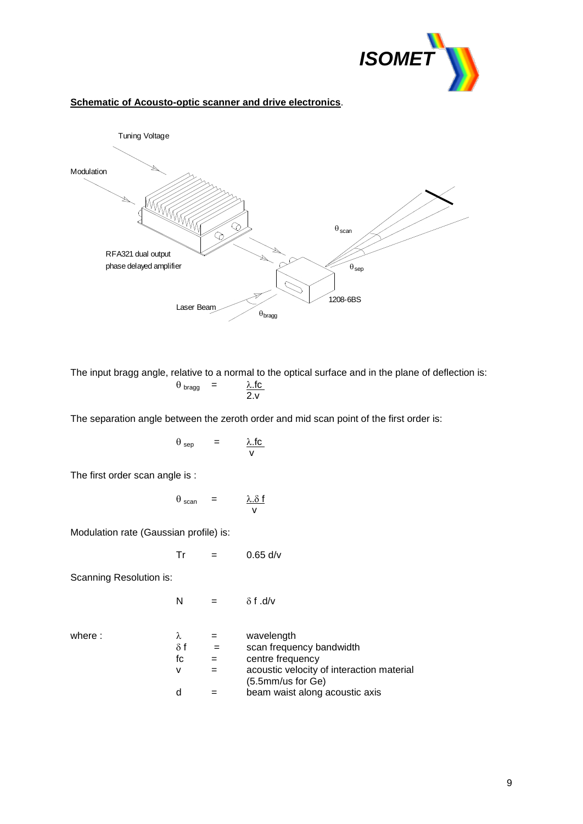

#### **Schematic of Acousto-optic scanner and drive electronics**.



The input bragg angle, relative to a normal to the optical surface and in the plane of deflection is:  $\theta_{\text{bragg}}$  =  $\frac{\lambda f}{2.}$ 

The separation angle between the zeroth order and mid scan point of the first order is:

$$
\theta_{\text{sep}} = \frac{\lambda \text{.fc}}{\nu}
$$

The first order scan angle is :

$$
\theta_{scan} = \frac{\lambda. \delta f}{v}
$$

Modulation rate (Gaussian profile) is:

$$
Tr = 0.65 \text{ d/v}
$$

Scanning Resolution is:

$$
N = \delta f.d/v
$$

where :

|            | wavelength                                                     |
|------------|----------------------------------------------------------------|
| $\delta f$ | scan frequency bandwidth                                       |
| fc         | centre frequency                                               |
| v          | acoustic velocity of interaction material<br>(5.5mm/us for Ge) |
| d          | beam waist along acoustic axis                                 |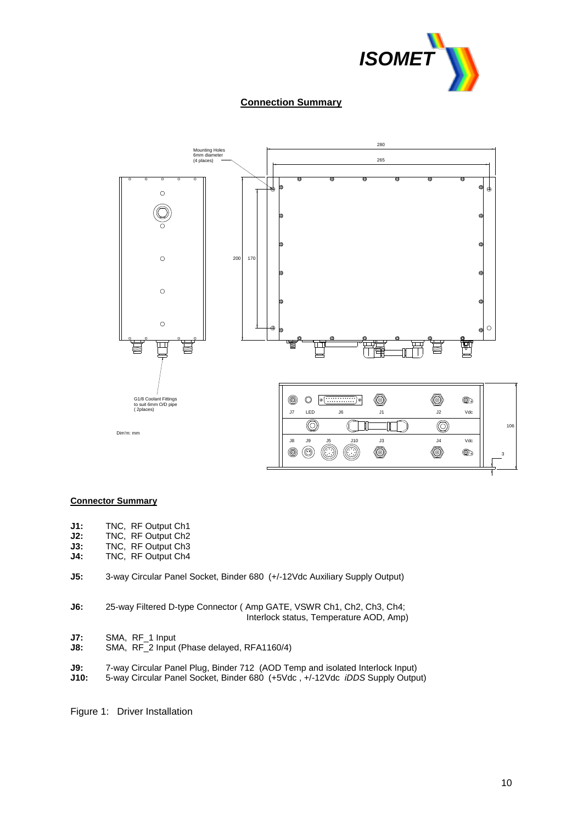

#### **Connection Summary**



#### **Connector Summary**

- **J1:** TNC, RF Output Ch1<br>**J2:** TNC, RF Output Ch2
- **J2:** TNC, RF Output Ch2
- **J3:** TNC,RF Output Ch3
- **J4:** TNC, RF Output Ch4
- **J5:** 3-way Circular Panel Socket, Binder 680 (+/-12Vdc Auxiliary Supply Output)
- **J6:** 25-way Filtered D-type Connector ( Amp GATE, VSWR Ch1, Ch2, Ch3, Ch4; Interlock status, Temperature AOD, Amp)
- **J7:** SMA, RF\_1 Input
- **J8:** SMA, RF\_2 Input (Phase delayed, RFA1160/4)
- **J9:** 7-way Circular Panel Plug, Binder 712 (AOD Temp and isolated Interlock Input)
- **J10:** 5-way Circular Panel Socket, Binder 680 (+5Vdc , +/-12Vdc *iDDS* Supply Output)

Figure 1: Driver Installation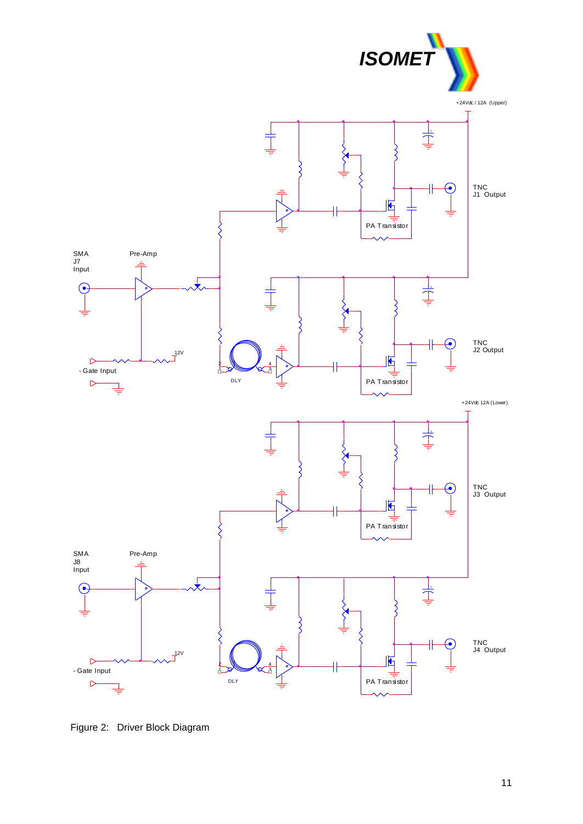

Figure 2: Driver Block Diagram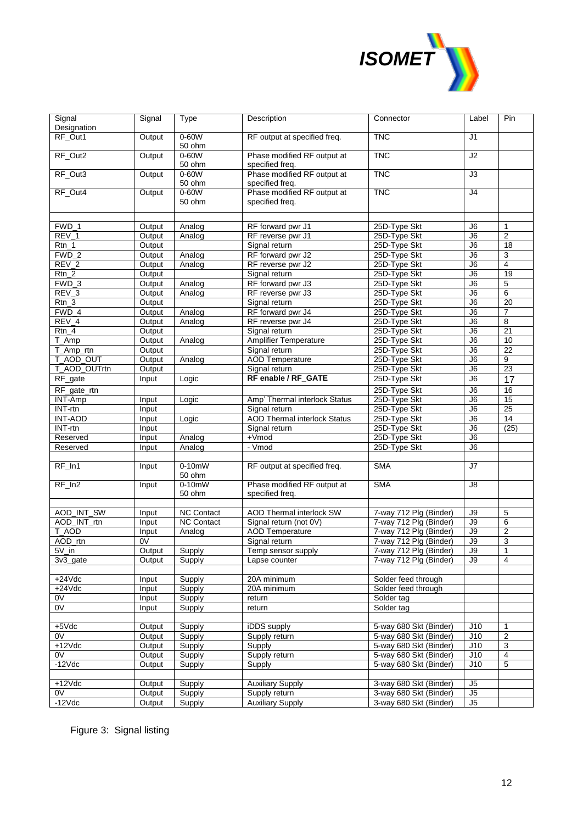

| Signal<br>Designation | Signal | Type                           | Description                                    | Connector              | Label           | Pin             |
|-----------------------|--------|--------------------------------|------------------------------------------------|------------------------|-----------------|-----------------|
| RF_Out1               | Output | 0-60W                          | RF output at specified freq.                   | <b>TNC</b>             | J <sub>1</sub>  |                 |
|                       |        | 50 ohm                         |                                                |                        |                 |                 |
| RF_Out2               | Output | 0-60W<br>50 ohm                | Phase modified RF output at<br>specified freq. | <b>TNC</b>             | J <sub>2</sub>  |                 |
| RF_Out3               | Output | $0-60W$                        | Phase modified RF output at                    | <b>TNC</b>             | J3              |                 |
| RF_Out4               | Output | 50 ohm<br>0-60W                | specified freq.<br>Phase modified RF output at | <b>TNC</b>             | J4              |                 |
|                       |        | 50 ohm                         | specified freq.                                |                        |                 |                 |
|                       |        |                                |                                                |                        |                 |                 |
|                       |        |                                |                                                |                        |                 |                 |
| FWD 1                 | Output | Analog                         | RF forward pwr J1                              | 25D-Type Skt           | J6              | $\mathbf{1}$    |
| $REV_1$               | Output | Analog                         | RF reverse pwr J1                              | 25D-Type Skt           | J6              | $\overline{2}$  |
| Rtn 1                 | Output |                                | Signal return                                  | 25D-Type Skt           | J6              | $\overline{18}$ |
| FWD 2                 | Output | Analog                         | RF forward pwr J2                              | 25D-Type Skt           | J6              | 3               |
| REV_2                 | Output | Analog                         | RF reverse pwr J2                              | 25D-Type Skt           | J6              | $\overline{4}$  |
| $Rtn_2$               | Output |                                | Signal return                                  | 25D-Type Skt           | J6              | 19              |
| FWD 3                 | Output | Analog                         | RF forward pwr J3                              | 25D-Type Skt           | $\overline{J6}$ | 5               |
| $REV_3$               | Output | Analog                         | RF reverse pwr J3                              | 25D-Type Skt           | J6              | 6               |
| $Rtn_3$               | Output |                                | Signal return                                  | 25D-Type Skt           | J6              | $\overline{20}$ |
| FWD_4                 | Output | Analog                         | RF forward pwr J4                              | 25D-Type Skt           | J6              | $\overline{7}$  |
| $REV_4$               | Output | Analog                         | RF reverse pwr J4                              | 25D-Type Skt           | J6              | 8               |
| $Rtn_4$               | Output |                                | Signal return                                  | 25D-Type Skt           | J6              | 21              |
| T_Amp                 | Output | Analog                         | <b>Amplifier Temperature</b>                   | 25D-Type Skt           | J6              | 10              |
| T_Amp_rtn             | Output |                                | Signal return                                  | 25D-Type Skt           | J6              | $\overline{22}$ |
| T AOD OUT             | Output | Analog                         | <b>AOD Temperature</b>                         | 25D-Type Skt           | $\overline{J6}$ | 9               |
| T AOD OUTrtn          | Output |                                | Signal return                                  | 25D-Type Skt           | J6              | 23              |
| RF_gate               | Input  | Logic                          | RF enable / RF_GATE                            | 25D-Type Skt           | J6              | 17              |
| $RF_g$ ate_rtn        |        |                                |                                                | 25D-Type Skt           | J6              | 16              |
| INT-Amp               | Input  | Logic                          | Amp' Thermal interlock Status                  | 25D-Type Skt           | J6              | 15              |
| INT-rtn               | Input  |                                | Signal return                                  | 25D-Type Skt           | J6              | 25              |
| <b>INT-AOD</b>        | Input  | Logic                          | <b>AOD Thermal interlock Status</b>            | 25D-Type Skt           | $\overline{J6}$ | 14              |
| INT-rtn               | Input  |                                | Signal return                                  | 25D-Type Skt           | J6              | (25)            |
| Reserved              | Input  | Analog                         | +Vmod                                          | 25D-Type Skt           | J6              |                 |
| Reserved              | Input  | Analog                         | - Vmod                                         | 25D-Type Skt           | J6              |                 |
|                       |        |                                |                                                |                        |                 |                 |
| RF_In1                | Input  | $\overline{0-10}$ mW<br>50 ohm | RF output at specified freq.                   | <b>SMA</b>             | J7              |                 |
| $RF_{1n2}$            | Input  | $0-10mW$                       | Phase modified RF output at                    | <b>SMA</b>             | J8              |                 |
|                       |        | 50 ohm                         | specified freq.                                |                        |                 |                 |
|                       |        |                                |                                                |                        |                 |                 |
| <b>AOD INT SW</b>     | Input  | <b>NC Contact</b>              | <b>AOD Thermal interlock SW</b>                | 7-way 712 Plg (Binder) | J9              | 5               |
| AOD_INT_rtn           | Input  | <b>NC Contact</b>              | Signal return (not 0V)                         | 7-way 712 Plg (Binder) | J9              | 6               |
| T_AOD                 | Input  | Analog                         | <b>AOD Temperature</b>                         | 7-way 712 Plg (Binder) | J9              | $\overline{2}$  |
| AOD_rtn               | 0V     |                                | Signal return                                  | 7-way 712 Plg (Binder) | J9              | 3               |
| $5V_{\perp}$ in       | Output | Supply                         | Temp sensor supply                             | 7-way 712 Plg (Binder) | J9              | $\mathbf{1}$    |
| 3v3_gate              | Output | Supply                         | Lapse counter                                  | 7-way 712 Plg (Binder) | J9              | $\overline{4}$  |
|                       |        |                                |                                                |                        |                 |                 |
| $+24Vdc$              | Input  | Supply                         | 20A minimum                                    | Solder feed through    |                 |                 |
| $+24Vdc$              | Input  | Supply                         | 20A minimum                                    | Solder feed through    |                 |                 |
| 0V                    | Input  | Supply                         | return                                         | Solder tag             |                 |                 |
| 0V                    | Input  | Supply                         | return                                         | Solder tag             |                 |                 |
|                       |        |                                |                                                |                        |                 |                 |
| $+5Vdc$               | Output | Supply                         | iDDS supply                                    | 5-way 680 Skt (Binder) | J10             | 1               |
| 0V                    | Output | Supply                         | Supply return                                  | 5-way 680 Skt (Binder) | J10             | 2               |
| $+12Vdc$              | Output | Supply                         | Supply                                         | 5-way 680 Skt (Binder) | J10             | 3               |
| 0V                    | Output | Supply                         | Supply return                                  | 5-way 680 Skt (Binder) | J10             | 4               |
| $-12Vdc$              | Output | Supply                         | Supply                                         | 5-way 680 Skt (Binder) | J10             | 5               |
|                       |        |                                |                                                |                        |                 |                 |
| $+12Vdc$              | Output | Supply                         | <b>Auxiliary Supply</b>                        | 3-way 680 Skt (Binder) | J5              |                 |
| 0V                    | Output | Supply                         | Supply return                                  | 3-way 680 Skt (Binder) | J <sub>5</sub>  |                 |
| $-12Vdc$              | Output | Supply                         | <b>Auxiliary Supply</b>                        | 3-way 680 Skt (Binder) | J5              |                 |
|                       |        |                                |                                                |                        |                 |                 |

Figure 3: Signal listing